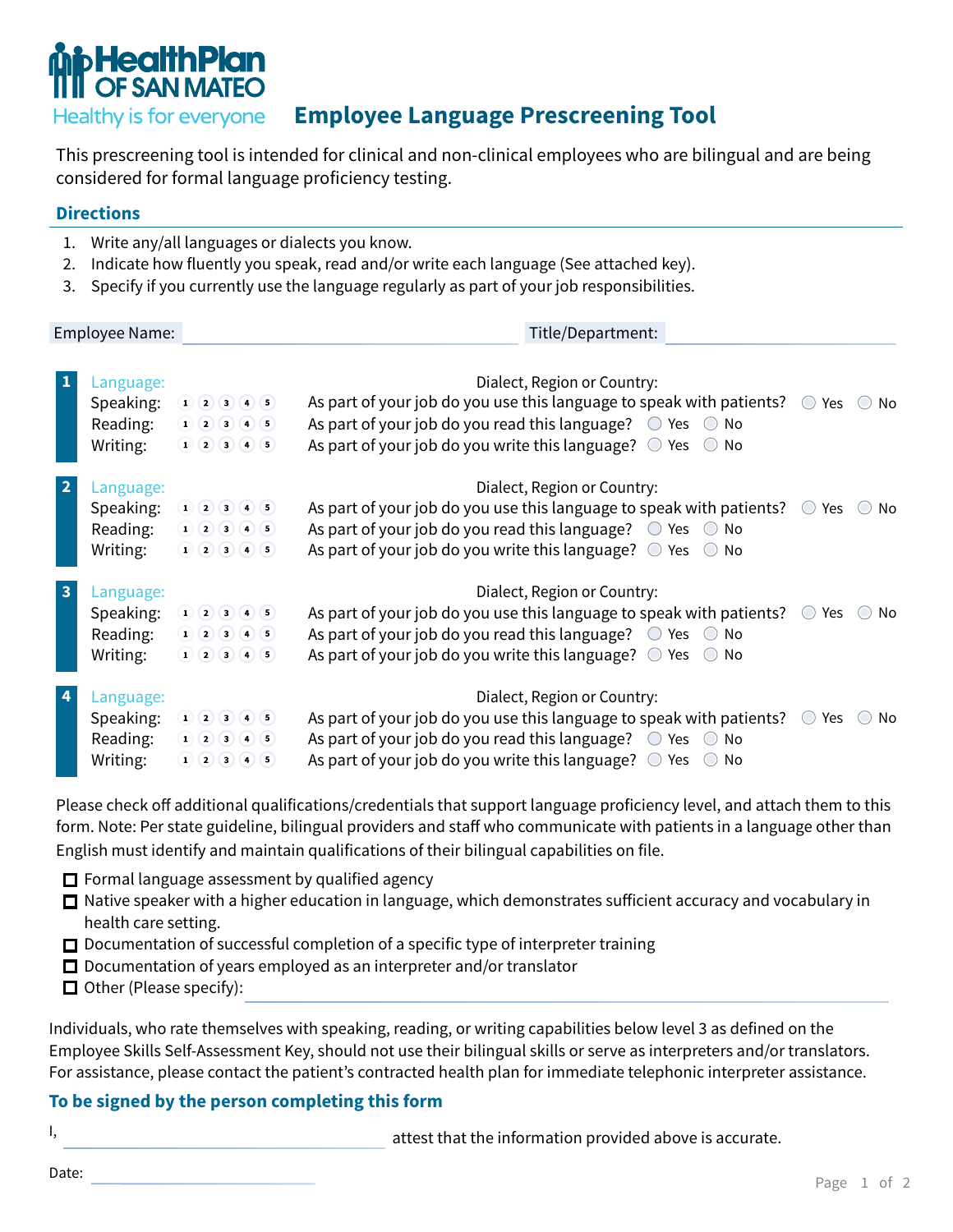

## **Employee Language Prescreening Tool**

This prescreening tool is intended for clinical and non-clinical employees who are bilingual and are being considered for formal language proficiency testing.

#### **Directions**

- 1. Write any/all languages or dialects you know.
- 2. Indicate how fluently you speak, read and/or write each language (See attached key).
- 3. Specify if you currently use the language regularly as part of your job responsibilities.

Employee Name: Title/Department: **1** Language: **1** Language: **Dialect, Region or Country:** Speaking: 1 2 3 4 5 As part of your job do you use this language to speak with patients?  $\circ$  Yes  $\circ$  No Reading:  $(1)(2)(3)(4)(5)$ As part of your job do you read this language?  $\bigcirc$  Yes  $\bigcirc$  No  $1) 2) 3) 4) 5)$ As part of your job do you write this language?  $\circ$  Yes  $\circ$  No Writing: **2** Language: **2 Language: 2 Dialect, Region or Country:** Speaking: 1 2 3 4 5 As part of your job do you use this language to speak with patients?  $\circ$  Yes  $\circ$  No Reading:  $1) 2) 3) 4) 5)$ As part of your job do you read this language?  $\circ$  Yes  $\circ$  No As part of your job do you write this language?  $\circ$  Yes  $\circ$  No Writing:  $1) 2) 3) 4) 5)$ **3** Language: **Dialect, Region or Country:** Speaking:  $(1)$   $(2)$   $(3)$   $(4)$   $(5)$ As part of your job do you use this language to speak with patients? Yes No Reading:  $(1) (2) (3) (4) (5)$ As part of your job do you read this language?  $\bigcirc$  Yes  $\bigcirc$  No  $(1)(2)(3)(4)(5)$ As part of your job do you write this language?  $\circledcirc$  Yes  $\circledcirc$  No Writing: **4** Language: **Dialect, Region or Country:** Speaking: 1 2 3 4 5 As part of your job do you use this language to speak with patients?  $\circ$  Yes  $\circ$  No Reading:  $(1)(2)(3)(4)(5)$ As part of your job do you read this language?  $\bigcirc$  Yes  $\bigcirc$  No  $1) 2) 3) 4) 5)$ As part of your job do you write this language?  $\circ$  Yes  $\circ$  No Writing:

Please check off additional qualifications/credentials that support language proficiency level, and attach them to this form. Note: Per state guideline, bilingual providers and staff who communicate with patients in a language other than English must identify and maintain qualifications of their bilingual capabilities on file.

- $\Box$  Formal language assessment by qualified agency
- $\Box$  Native speaker with a higher education in language, which demonstrates sufficient accuracy and vocabulary in health care setting.
- $\Box$  Documentation of successful completion of a specific type of interpreter training
- $\Box$  Documentation of years employed as an interpreter and/or translator
- $\Box$  Other (Please specify):

Individuals, who rate themselves with speaking, reading, or writing capabilities below level 3 as defined on the Employee Skills Self-Assessment Key, should not use their bilingual skills or serve as interpreters and/or translators. For assistance, please contact the patient's contracted health plan for immediate telephonic interpreter assistance.

#### **To be signed by the person completing this form**

I, attest that the information provided above is accurate.

Date: